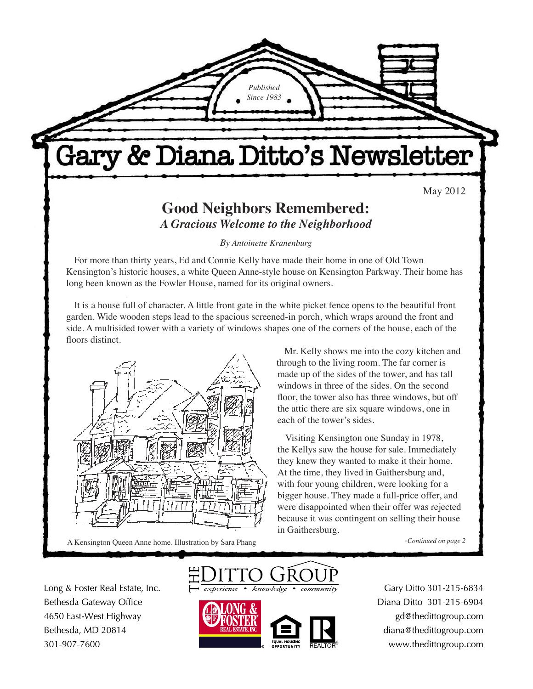Gary & Diana Ditto's Newsletter

*Published Since 1983*

May 2012

### **Good Neighbors Remembered:** *A Gracious Welcome to the Neighborhood*

*By Antoinette Kranenburg*

For more than thirty years, Ed and Connie Kelly have made their home in one of Old Town Kensington's historic houses, a white Queen Anne-style house on Kensington Parkway. Their home has long been known as the Fowler House, named for its original owners.

It is a house full of character. A little front gate in the white picket fence opens to the beautiful front garden. Wide wooden steps lead to the spacious screened-in porch, which wraps around the front and side. A multisided tower with a variety of windows shapes one of the corners of the house, each of the floors distinct.



A Kensington Queen Anne home. Illustration by Sara Phang

Mr. Kelly shows me into the cozy kitchen and through to the living room. The far corner is made up of the sides of the tower, and has tall windows in three of the sides. On the second floor, the tower also has three windows, but off the attic there are six square windows, one in each of the tower's sides.

Visiting Kensington one Sunday in 1978, the Kellys saw the house for sale. Immediately they knew they wanted to make it their home. At the time, they lived in Gaithersburg and, with four young children, were looking for a bigger house. They made a full-price offer, and were disappointed when their offer was rejected because it was contingent on selling their house in Gaithersburg.

-*Continued on page 2*

Long & Foster Real Estate, Inc. Bethesda Gateway Office 4650 East-West Highway Bethesda, MD 20814 301-907-7600





Gary Ditto 301-215-6834 Diana Ditto 301-215-6904 gd@thedittogroup.com diana@thedittogroup.com www.thedittogroup.com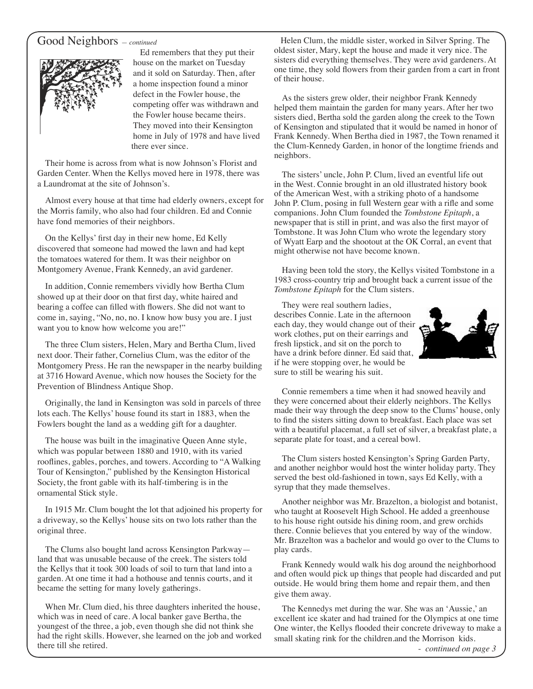#### Good Neighbors *— continued*



Ed remembers that they put their house on the market on Tuesday and it sold on Saturday. Then, after a home inspection found a minor defect in the Fowler house, the competing offer was withdrawn and the Fowler house became theirs. They moved into their Kensington home in July of 1978 and have lived there ever since.

Their home is across from what is now Johnson's Florist and Garden Center. When the Kellys moved here in 1978, there was a Laundromat at the site of Johnson's.

Almost every house at that time had elderly owners, except for the Morris family, who also had four children. Ed and Connie have fond memories of their neighbors.

On the Kellys' first day in their new home, Ed Kelly discovered that someone had mowed the lawn and had kept the tomatoes watered for them. It was their neighbor on Montgomery Avenue, Frank Kennedy, an avid gardener.

In addition, Connie remembers vividly how Bertha Clum showed up at their door on that first day, white haired and bearing a coffee can filled with flowers. She did not want to come in, saying, "No, no, no. I know how busy you are. I just want you to know how welcome you are!"

The three Clum sisters, Helen, Mary and Bertha Clum, lived next door. Their father, Cornelius Clum, was the editor of the Montgomery Press. He ran the newspaper in the nearby building at 3716 Howard Avenue, which now houses the Society for the Prevention of Blindness Antique Shop.

Originally, the land in Kensington was sold in parcels of three lots each. The Kellys' house found its start in 1883, when the Fowlers bought the land as a wedding gift for a daughter.

The house was built in the imaginative Queen Anne style, which was popular between 1880 and 1910, with its varied rooflines, gables, porches, and towers. According to "A Walking Tour of Kensington," published by the Kensington Historical Society, the front gable with its half-timbering is in the ornamental Stick style.

In 1915 Mr. Clum bought the lot that adjoined his property for a driveway, so the Kellys' house sits on two lots rather than the original three.

The Clums also bought land across Kensington Parkway land that was unusable because of the creek. The sisters told the Kellys that it took 300 loads of soil to turn that land into a garden. At one time it had a hothouse and tennis courts, and it became the setting for many lovely gatherings.

When Mr. Clum died, his three daughters inherited the house, which was in need of care. A local banker gave Bertha, the youngest of the three, a job, even though she did not think she had the right skills. However, she learned on the job and worked there till she retired.

 $\overline{a}$  Helen Clum, the middle sister, worked in Silver Spring. The oldest sister, Mary, kept the house and made it very nice. The sisters did everything themselves. They were avid gardeners. At one time, they sold flowers from their garden from a cart in front of their house.

As the sisters grew older, their neighbor Frank Kennedy helped them maintain the garden for many years. After her two sisters died, Bertha sold the garden along the creek to the Town of Kensington and stipulated that it would be named in honor of Frank Kennedy. When Bertha died in 1987, the Town renamed it the Clum-Kennedy Garden, in honor of the longtime friends and neighbors.

The sisters' uncle, John P. Clum, lived an eventful life out in the West. Connie brought in an old illustrated history book of the American West, with a striking photo of a handsome John P. Clum, posing in full Western gear with a rifle and some companions. John Clum founded the *Tombstone Epitaph*, a newspaper that is still in print, and was also the first mayor of Tombstone. It was John Clum who wrote the legendary story of Wyatt Earp and the shootout at the OK Corral, an event that might otherwise not have become known.

Having been told the story, the Kellys visited Tombstone in a 1983 cross-country trip and brought back a current issue of the *Tombstone Epitaph* for the Clum sisters.

They were real southern ladies, describes Connie. Late in the afternoon each day, they would change out of their work clothes, put on their earrings and fresh lipstick, and sit on the porch to have a drink before dinner. Ed said that, if he were stopping over, he would be sure to still be wearing his suit.



Connie remembers a time when it had snowed heavily and they were concerned about their elderly neighbors. The Kellys made their way through the deep snow to the Clums' house, only to find the sisters sitting down to breakfast. Each place was set with a beautiful placemat, a full set of silver, a breakfast plate, a separate plate for toast, and a cereal bowl.

The Clum sisters hosted Kensington's Spring Garden Party, and another neighbor would host the winter holiday party. They served the best old-fashioned in town, says Ed Kelly, with a syrup that they made themselves.

Another neighbor was Mr. Brazelton, a biologist and botanist, who taught at Roosevelt High School. He added a greenhouse to his house right outside his dining room, and grew orchids there. Connie believes that you entered by way of the window. Mr. Brazelton was a bachelor and would go over to the Clums to play cards.

Frank Kennedy would walk his dog around the neighborhood and often would pick up things that people had discarded and put outside. He would bring them home and repair them, and then give them away.

The Kennedys met during the war. She was an 'Aussie,' an excellent ice skater and had trained for the Olympics at one time One winter, the Kellys flooded their concrete driveway to make a small skating rink for the children.and the Morrison kids.

- *continued on page 3*